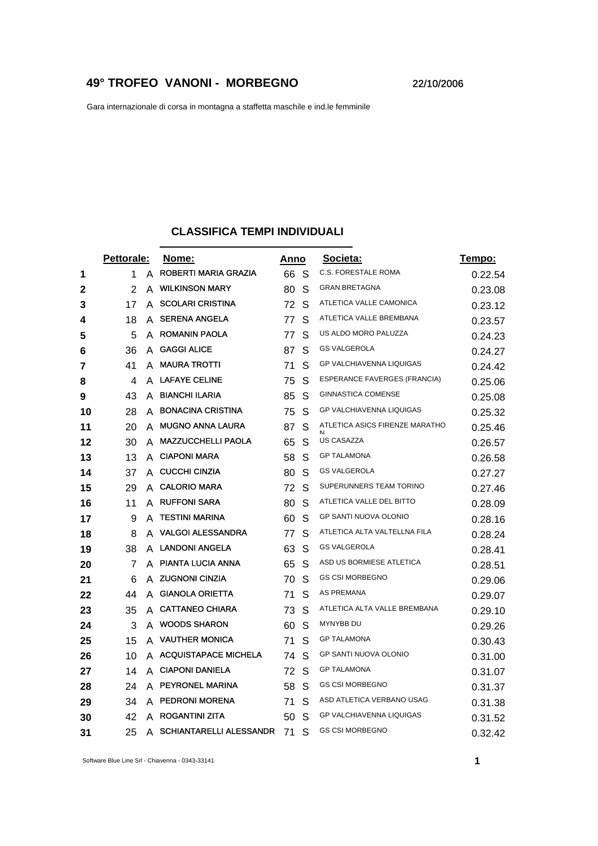## **49° TROFEO VANONI - MORBEGNO** 22/10/2006

Gara internazionale di corsa in montagna a staffetta maschile e ind.le femminile

## **CLASSIFICA TEMPI INDIVIDUALI**

|    | Pettorale: |   | Nome:                          |    | Anno | Societa:                       | Tempo:  |
|----|------------|---|--------------------------------|----|------|--------------------------------|---------|
| 1  | 1          | A | ROBERTI MARIA GRAZIA           | 66 | -S   | <b>C.S. FORESTALE ROMA</b>     | 0.22.54 |
| 2  | 2          | A | <b>WILKINSON MARY</b>          | 80 | S    | <b>GRAN BRETAGNA</b>           | 0.23.08 |
| 3  | 17         | A | <b>SCOLARI CRISTINA</b>        | 72 | S    | ATLETICA VALLE CAMONICA        | 0.23.12 |
| 4  | 18         | A | <b>SERENA ANGELA</b>           | 77 | S    | ATLETICA VALLE BREMBANA        | 0.23.57 |
| 5  | 5          | A | <b>ROMANIN PAOLA</b>           | 77 | S    | US ALDO MORO PALUZZA           | 0.24.23 |
| 6  | 36         | A | <b>GAGGI ALICE</b>             | 87 | S    | <b>GS VALGEROLA</b>            | 0.24.27 |
| 7  | 41         |   | A MAURA TROTTI                 | 71 | S    | GP VALCHIAVENNA LIQUIGAS       | 0.24.42 |
| 8  | 4          |   | A LAFAYE CELINE                | 75 | S    | ESPERANCE FAVERGES (FRANCIA)   | 0.25.06 |
| 9  | 43         | A | <b>BIANCHI ILARIA</b>          | 85 | S    | <b>GINNASTICA COMENSE</b>      | 0.25.08 |
| 10 | 28         | A | <b>BONACINA CRISTINA</b>       | 75 | S    | GP VALCHIAVENNA LIQUIGAS       | 0.25.32 |
| 11 | 20         | A | <b>MUGNO ANNA LAURA</b>        | 87 | S    | ATLETICA ASICS FIRENZE MARATHO | 0.25.46 |
| 12 | 30         | A | <b>MAZZUCCHELLI PAOLA</b>      | 65 | S    | <b>US CASAZZA</b>              | 0.26.57 |
| 13 | 13         | A | <b>CIAPONI MARA</b>            | 58 | S    | <b>GP TALAMONA</b>             | 0.26.58 |
| 14 | 37         |   | A CUCCHI CINZIA                | 80 | S    | <b>GS VALGEROLA</b>            | 0.27.27 |
| 15 | 29         | А | <b>CALORIO MARA</b>            | 72 | S    | SUPERUNNERS TEAM TORINO        | 0.27.46 |
| 16 | 11         | A | <b>RUFFONI SARA</b>            | 80 | S    | ATLETICA VALLE DEL BITTO       | 0.28.09 |
| 17 | 9          | A | <b>TESTINI MARINA</b>          | 60 | S    | GP SANTI NUOVA OLONIO          | 0.28.16 |
| 18 | 8          | А | <b>VALGOI ALESSANDRA</b>       | 77 | S    | ATLETICA ALTA VALTELLNA FILA   | 0.28.24 |
| 19 | 38         | A | <b>LANDONI ANGELA</b>          | 63 | S    | <b>GS VALGEROLA</b>            | 0.28.41 |
| 20 | 7          | А | PIANTA LUCIA ANNA              | 65 | S    | ASD US BORMIESE ATLETICA       | 0.28.51 |
| 21 | 6          | A | <b>ZUGNONI CINZIA</b>          | 70 | S    | <b>GS CSI MORBEGNO</b>         | 0.29.06 |
| 22 | 44         | A | <b>GIANOLA ORIETTA</b>         | 71 | S    | AS PREMANA                     | 0.29.07 |
| 23 | 35         | A | <b>CATTANEO CHIARA</b>         | 73 | S    | ATLETICA ALTA VALLE BREMBANA   | 0.29.10 |
| 24 | 3          |   | A WOODS SHARON                 | 60 | S    | MYNYBB DU                      | 0.29.26 |
| 25 | 15         | A | <b>VAUTHER MONICA</b>          | 71 | S    | <b>GP TALAMONA</b>             | 0.30.43 |
| 26 | 10         |   | A ACQUISTAPACE MICHELA         | 74 | S    | GP SANTI NUOVA OLONIO          | 0.31.00 |
| 27 | 14         |   | A CIAPONI DANIELA              | 72 | S    | <b>GP TALAMONA</b>             | 0.31.07 |
| 28 | 24         | A | PEYRONEL MARINA                | 58 | S    | <b>GS CSI MORBEGNO</b>         | 0.31.37 |
| 29 | 34         | A | <b>PEDRONI MORENA</b>          | 71 | S    | ASD ATLETICA VERBANO USAG      | 0.31.38 |
| 30 | 42         |   | A ROGANTINI ZITA               | 50 | S    | GP VALCHIAVENNA LIQUIGAS       | 0.31.52 |
| 31 | 25         | A | <b>SCHIANTARELLI ALESSANDR</b> | 71 | S    | <b>GS CSI MORBEGNO</b>         | 0.32.42 |

Software Blue Line Srl - Chiavenna - 0343-33141 **1**